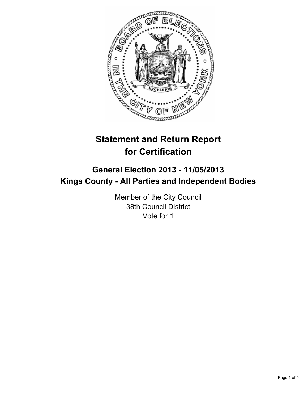

# **Statement and Return Report for Certification**

## **General Election 2013 - 11/05/2013 Kings County - All Parties and Independent Bodies**

Member of the City Council 38th Council District Vote for 1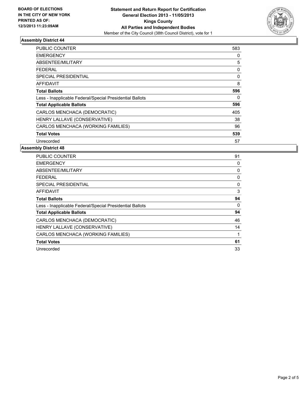

#### **Assembly District 44**

| <b>PUBLIC COUNTER</b>                                    | 583 |
|----------------------------------------------------------|-----|
| <b>EMERGENCY</b>                                         | 0   |
| <b>ABSENTEE/MILITARY</b>                                 | 5   |
| FEDERAL                                                  | 0   |
| SPECIAL PRESIDENTIAL                                     | 0   |
| <b>AFFIDAVIT</b>                                         | 8   |
| <b>Total Ballots</b>                                     | 596 |
| Less - Inapplicable Federal/Special Presidential Ballots | 0   |
| <b>Total Applicable Ballots</b>                          | 596 |
| CARLOS MENCHACA (DEMOCRATIC)                             | 405 |
| HENRY LALLAVE (CONSERVATIVE)                             | 38  |
| CARLOS MENCHACA (WORKING FAMILIES)                       | 96  |
| <b>Total Votes</b>                                       | 539 |
| Unrecorded                                               | 57  |

#### **Assembly District 48**

| PUBLIC COUNTER                                           | 91 |
|----------------------------------------------------------|----|
| <b>EMERGENCY</b>                                         | 0  |
| ABSENTEE/MILITARY                                        | 0  |
| FEDERAL                                                  | 0  |
| SPECIAL PRESIDENTIAL                                     | 0  |
| AFFIDAVIT                                                | 3  |
| <b>Total Ballots</b>                                     | 94 |
| Less - Inapplicable Federal/Special Presidential Ballots | 0  |
| <b>Total Applicable Ballots</b>                          | 94 |
| CARLOS MENCHACA (DEMOCRATIC)                             | 46 |
| HENRY LALLAVE (CONSERVATIVE)                             | 14 |
| CARLOS MENCHACA (WORKING FAMILIES)                       | 1  |
| <b>Total Votes</b>                                       | 61 |
| Unrecorded                                               | 33 |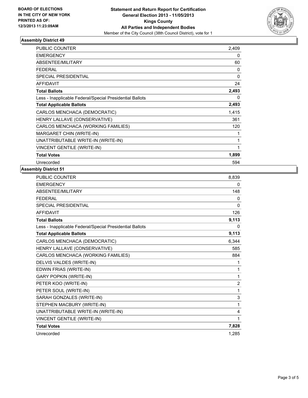

#### **Assembly District 49**

| <b>PUBLIC COUNTER</b>                                    | 2,409        |
|----------------------------------------------------------|--------------|
| <b>EMERGENCY</b>                                         | 0            |
| ABSENTEE/MILITARY                                        | 60           |
| <b>FEDERAL</b>                                           | 0            |
| <b>SPECIAL PRESIDENTIAL</b>                              | $\mathbf{0}$ |
| <b>AFFIDAVIT</b>                                         | 24           |
| <b>Total Ballots</b>                                     | 2,493        |
| Less - Inapplicable Federal/Special Presidential Ballots | $\Omega$     |
| <b>Total Applicable Ballots</b>                          | 2,493        |
| CARLOS MENCHACA (DEMOCRATIC)                             | 1,415        |
| HENRY LALLAVE (CONSERVATIVE)                             | 361          |
| CARLOS MENCHACA (WORKING FAMILIES)                       | 120          |
| MARGARET CHIN (WRITE-IN)                                 | 1            |
| UNATTRIBUTABLE WRITE-IN (WRITE-IN)                       | 1            |
| <b>VINCENT GENTILE (WRITE-IN)</b>                        | 1            |
| <b>Total Votes</b>                                       | 1,899        |
| Unrecorded                                               | 594          |

### **Assembly District 51**

| <b>PUBLIC COUNTER</b>                                    | 8,839        |
|----------------------------------------------------------|--------------|
| <b>EMERGENCY</b>                                         | 0            |
| ABSENTEE/MILITARY                                        | 148          |
| <b>FEDERAL</b>                                           | 0            |
| <b>SPECIAL PRESIDENTIAL</b>                              | $\mathbf{0}$ |
| <b>AFFIDAVIT</b>                                         | 126          |
| <b>Total Ballots</b>                                     | 9,113        |
| Less - Inapplicable Federal/Special Presidential Ballots | 0            |
| <b>Total Applicable Ballots</b>                          | 9,113        |
| CARLOS MENCHACA (DEMOCRATIC)                             | 6.344        |
| HENRY LALLAVE (CONSERVATIVE)                             | 585          |
| CARLOS MENCHACA (WORKING FAMILIES)                       | 884          |
| DELVIS VALDES (WRITE-IN)                                 | 1            |
| EDWIN FRIAS (WRITE-IN)                                   | 1            |
| <b>GARY POPKIN (WRITE-IN)</b>                            | 1            |
| PETER KOO (WRITE-IN)                                     | 2            |
| PETER SOUL (WRITE-IN)                                    | 1            |
| SARAH GONZALES (WRITE-IN)                                | 3            |
| STEPHEN MACBURY (WRITE-IN)                               | 1            |
| UNATTRIBUTABLE WRITE-IN (WRITE-IN)                       | 4            |
| VINCENT GENTILE (WRITE-IN)                               | 1            |
| <b>Total Votes</b>                                       | 7,828        |
| Unrecorded                                               | 1.285        |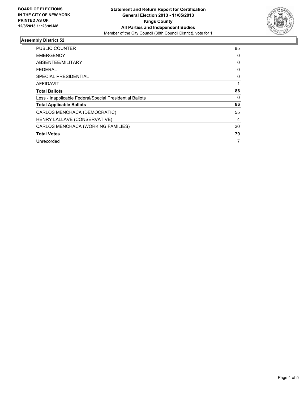

#### **Assembly District 52**

| <b>PUBLIC COUNTER</b>                                    | 85 |
|----------------------------------------------------------|----|
| <b>EMERGENCY</b>                                         | 0  |
| ABSENTEE/MILITARY                                        | 0  |
| <b>FEDERAL</b>                                           | 0  |
| SPECIAL PRESIDENTIAL                                     | 0  |
| AFFIDAVIT                                                |    |
| <b>Total Ballots</b>                                     | 86 |
| Less - Inapplicable Federal/Special Presidential Ballots | 0  |
| <b>Total Applicable Ballots</b>                          | 86 |
| CARLOS MENCHACA (DEMOCRATIC)                             | 55 |
| HENRY LALLAVE (CONSERVATIVE)                             | 4  |
| CARLOS MENCHACA (WORKING FAMILIES)                       | 20 |
| <b>Total Votes</b>                                       | 79 |
| Unrecorded                                               | 7  |